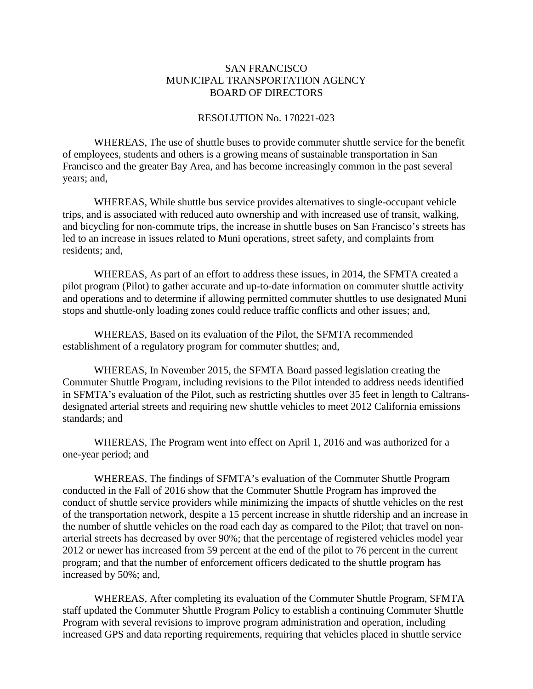## SAN FRANCISCO MUNICIPAL TRANSPORTATION AGENCY BOARD OF DIRECTORS

### RESOLUTION No. 170221-023

WHEREAS, The use of shuttle buses to provide commuter shuttle service for the benefit of employees, students and others is a growing means of sustainable transportation in San Francisco and the greater Bay Area, and has become increasingly common in the past several years; and,

WHEREAS, While shuttle bus service provides alternatives to single-occupant vehicle trips, and is associated with reduced auto ownership and with increased use of transit, walking, and bicycling for non-commute trips, the increase in shuttle buses on San Francisco's streets has led to an increase in issues related to Muni operations, street safety, and complaints from residents; and,

WHEREAS, As part of an effort to address these issues, in 2014, the SFMTA created a pilot program (Pilot) to gather accurate and up-to-date information on commuter shuttle activity and operations and to determine if allowing permitted commuter shuttles to use designated Muni stops and shuttle-only loading zones could reduce traffic conflicts and other issues; and,

WHEREAS, Based on its evaluation of the Pilot, the SFMTA recommended establishment of a regulatory program for commuter shuttles; and,

WHEREAS, In November 2015, the SFMTA Board passed legislation creating the Commuter Shuttle Program, including revisions to the Pilot intended to address needs identified in SFMTA's evaluation of the Pilot, such as restricting shuttles over 35 feet in length to Caltransdesignated arterial streets and requiring new shuttle vehicles to meet 2012 California emissions standards; and

WHEREAS, The Program went into effect on April 1, 2016 and was authorized for a one-year period; and

WHEREAS, The findings of SFMTA's evaluation of the Commuter Shuttle Program conducted in the Fall of 2016 show that the Commuter Shuttle Program has improved the conduct of shuttle service providers while minimizing the impacts of shuttle vehicles on the rest of the transportation network, despite a 15 percent increase in shuttle ridership and an increase in the number of shuttle vehicles on the road each day as compared to the Pilot; that travel on nonarterial streets has decreased by over 90%; that the percentage of registered vehicles model year 2012 or newer has increased from 59 percent at the end of the pilot to 76 percent in the current program; and that the number of enforcement officers dedicated to the shuttle program has increased by 50%; and,

WHEREAS, After completing its evaluation of the Commuter Shuttle Program, SFMTA staff updated the Commuter Shuttle Program Policy to establish a continuing Commuter Shuttle Program with several revisions to improve program administration and operation, including increased GPS and data reporting requirements, requiring that vehicles placed in shuttle service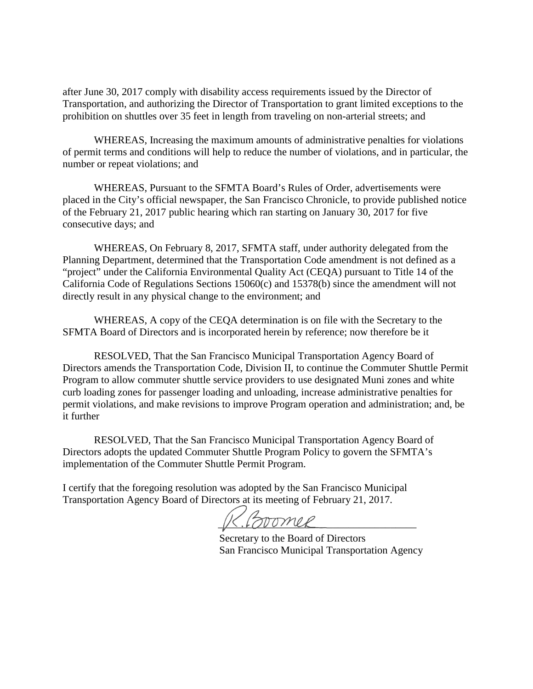after June 30, 2017 comply with disability access requirements issued by the Director of Transportation, and authorizing the Director of Transportation to grant limited exceptions to the prohibition on shuttles over 35 feet in length from traveling on non-arterial streets; and

WHEREAS, Increasing the maximum amounts of administrative penalties for violations of permit terms and conditions will help to reduce the number of violations, and in particular, the number or repeat violations; and

WHEREAS, Pursuant to the SFMTA Board's Rules of Order, advertisements were placed in the City's official newspaper, the San Francisco Chronicle, to provide published notice of the February 21, 2017 public hearing which ran starting on January 30, 2017 for five consecutive days; and

WHEREAS, On February 8, 2017, SFMTA staff, under authority delegated from the Planning Department, determined that the Transportation Code amendment is not defined as a "project" under the California Environmental Quality Act (CEQA) pursuant to Title 14 of the California Code of Regulations Sections 15060(c) and 15378(b) since the amendment will not directly result in any physical change to the environment; and

WHEREAS, A copy of the CEQA determination is on file with the Secretary to the SFMTA Board of Directors and is incorporated herein by reference; now therefore be it

RESOLVED, That the San Francisco Municipal Transportation Agency Board of Directors amends the Transportation Code, Division II, to continue the Commuter Shuttle Permit Program to allow commuter shuttle service providers to use designated Muni zones and white curb loading zones for passenger loading and unloading, increase administrative penalties for permit violations, and make revisions to improve Program operation and administration; and, be it further

RESOLVED, That the San Francisco Municipal Transportation Agency Board of Directors adopts the updated Commuter Shuttle Program Policy to govern the SFMTA's implementation of the Commuter Shuttle Permit Program.

I certify that the foregoing resolution was adopted by the San Francisco Municipal Transportation Agency Board of Directors at its meeting of February 21, 2017.

 $K. Bromel$ 

 Secretary to the Board of Directors San Francisco Municipal Transportation Agency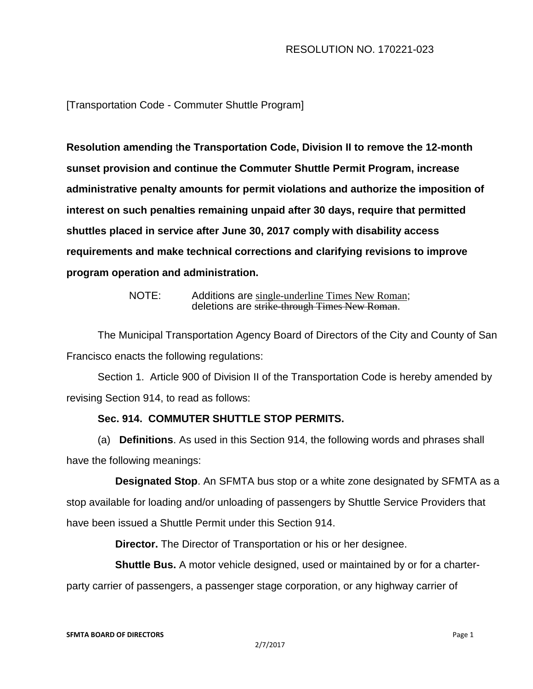# RESOLUTION NO. 170221-023

[Transportation Code - Commuter Shuttle Program]

**Resolution amending** t**he Transportation Code, Division II to remove the 12-month sunset provision and continue the Commuter Shuttle Permit Program, increase administrative penalty amounts for permit violations and authorize the imposition of interest on such penalties remaining unpaid after 30 days, require that permitted shuttles placed in service after June 30, 2017 comply with disability access requirements and make technical corrections and clarifying revisions to improve program operation and administration.**

> NOTE: Additions are single-underline Times New Roman; deletions are strike-through Times New Roman.

The Municipal Transportation Agency Board of Directors of the City and County of San Francisco enacts the following regulations:

Section 1. Article 900 of Division II of the Transportation Code is hereby amended by revising Section 914, to read as follows:

# **Sec. 914. COMMUTER SHUTTLE STOP PERMITS.**

(a) **Definitions**. As used in this Section 914, the following words and phrases shall have the following meanings:

 **Designated Stop**. An SFMTA bus stop or a white zone designated by SFMTA as a stop available for loading and/or unloading of passengers by Shuttle Service Providers that have been issued a Shuttle Permit under this Section 914.

**Director.** The Director of Transportation or his or her designee.

**Shuttle Bus.** A motor vehicle designed, used or maintained by or for a charter-

party carrier of passengers, a passenger stage corporation, or any highway carrier of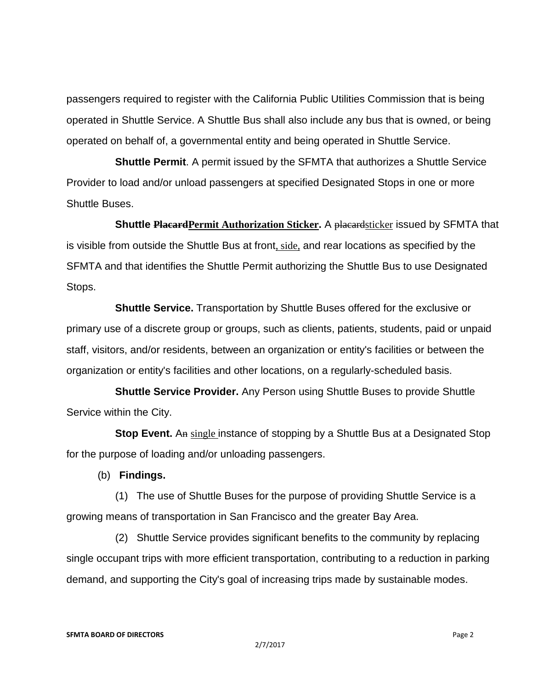passengers required to register with the California Public Utilities Commission that is being operated in Shuttle Service. A Shuttle Bus shall also include any bus that is owned, or being operated on behalf of, a governmental entity and being operated in Shuttle Service.

 **Shuttle Permit**. A permit issued by the SFMTA that authorizes a Shuttle Service Provider to load and/or unload passengers at specified Designated Stops in one or more Shuttle Buses.

 **Shuttle PlacardPermit Authorization Sticker.** A placardsticker issued by SFMTA that is visible from outside the Shuttle Bus at front, side, and rear locations as specified by the SFMTA and that identifies the Shuttle Permit authorizing the Shuttle Bus to use Designated Stops.

 **Shuttle Service.** Transportation by Shuttle Buses offered for the exclusive or primary use of a discrete group or groups, such as clients, patients, students, paid or unpaid staff, visitors, and/or residents, between an organization or entity's facilities or between the organization or entity's facilities and other locations, on a regularly-scheduled basis.

 **Shuttle Service Provider.** Any Person using Shuttle Buses to provide Shuttle Service within the City.

**Stop Event.** An single instance of stopping by a Shuttle Bus at a Designated Stop for the purpose of loading and/or unloading passengers.

(b) **Findings.**

 (1) The use of Shuttle Buses for the purpose of providing Shuttle Service is a growing means of transportation in San Francisco and the greater Bay Area.

 (2) Shuttle Service provides significant benefits to the community by replacing single occupant trips with more efficient transportation, contributing to a reduction in parking demand, and supporting the City's goal of increasing trips made by sustainable modes.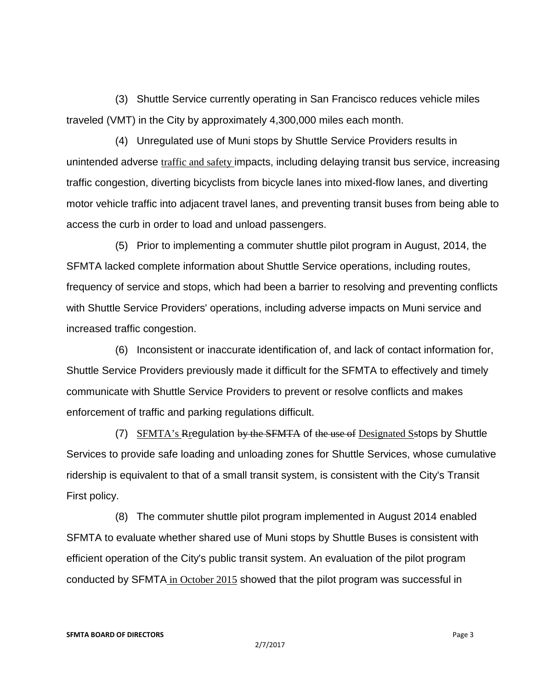(3) Shuttle Service currently operating in San Francisco reduces vehicle miles traveled (VMT) in the City by approximately 4,300,000 miles each month.

 (4) Unregulated use of Muni stops by Shuttle Service Providers results in unintended adverse traffic and safety impacts, including delaying transit bus service, increasing traffic congestion, diverting bicyclists from bicycle lanes into mixed-flow lanes, and diverting motor vehicle traffic into adjacent travel lanes, and preventing transit buses from being able to access the curb in order to load and unload passengers.

 (5) Prior to implementing a commuter shuttle pilot program in August, 2014, the SFMTA lacked complete information about Shuttle Service operations, including routes, frequency of service and stops, which had been a barrier to resolving and preventing conflicts with Shuttle Service Providers' operations, including adverse impacts on Muni service and increased traffic congestion.

 (6) Inconsistent or inaccurate identification of, and lack of contact information for, Shuttle Service Providers previously made it difficult for the SFMTA to effectively and timely communicate with Shuttle Service Providers to prevent or resolve conflicts and makes enforcement of traffic and parking regulations difficult.

 $(7)$  SFMTA's Regulation by the SFMTA of the use of Designated Sstops by Shuttle Services to provide safe loading and unloading zones for Shuttle Services, whose cumulative ridership is equivalent to that of a small transit system, is consistent with the City's Transit First policy.

 (8) The commuter shuttle pilot program implemented in August 2014 enabled SFMTA to evaluate whether shared use of Muni stops by Shuttle Buses is consistent with efficient operation of the City's public transit system. An evaluation of the pilot program conducted by SFMTA in October 2015 showed that the pilot program was successful in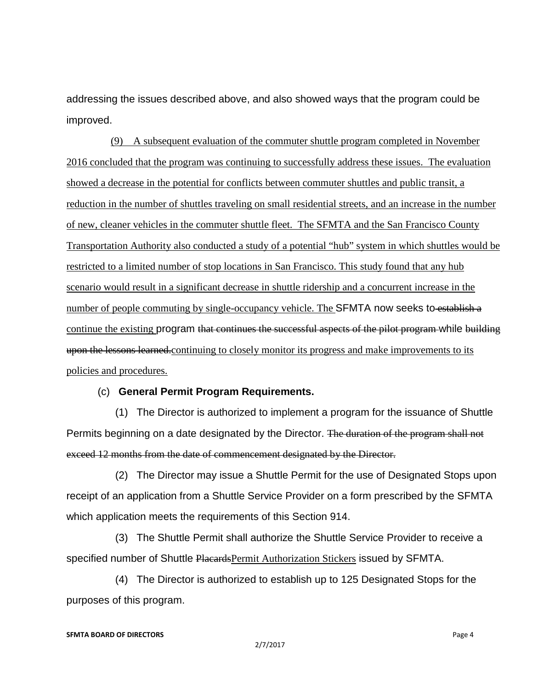addressing the issues described above, and also showed ways that the program could be improved.

 (9) A subsequent evaluation of the commuter shuttle program completed in November 2016 concluded that the program was continuing to successfully address these issues. The evaluation showed a decrease in the potential for conflicts between commuter shuttles and public transit, a reduction in the number of shuttles traveling on small residential streets, and an increase in the number of new, cleaner vehicles in the commuter shuttle fleet. The SFMTA and the San Francisco County Transportation Authority also conducted a study of a potential "hub" system in which shuttles would be restricted to a limited number of stop locations in San Francisco. This study found that any hub scenario would result in a significant decrease in shuttle ridership and a concurrent increase in the number of people commuting by single-occupancy vehicle. The SFMTA now seeks to establish a continue the existing program that continues the successful aspects of the pilot program while building upon the lessons learned.continuing to closely monitor its progress and make improvements to its policies and procedures.

## (c) **General Permit Program Requirements.**

 (1) The Director is authorized to implement a program for the issuance of Shuttle Permits beginning on a date designated by the Director. The duration of the program shall not exceed 12 months from the date of commencement designated by the Director.

 (2) The Director may issue a Shuttle Permit for the use of Designated Stops upon receipt of an application from a Shuttle Service Provider on a form prescribed by the SFMTA which application meets the requirements of this Section 914.

 (3) The Shuttle Permit shall authorize the Shuttle Service Provider to receive a specified number of Shuttle Placards Permit Authorization Stickers issued by SFMTA.

 (4) The Director is authorized to establish up to 125 Designated Stops for the purposes of this program.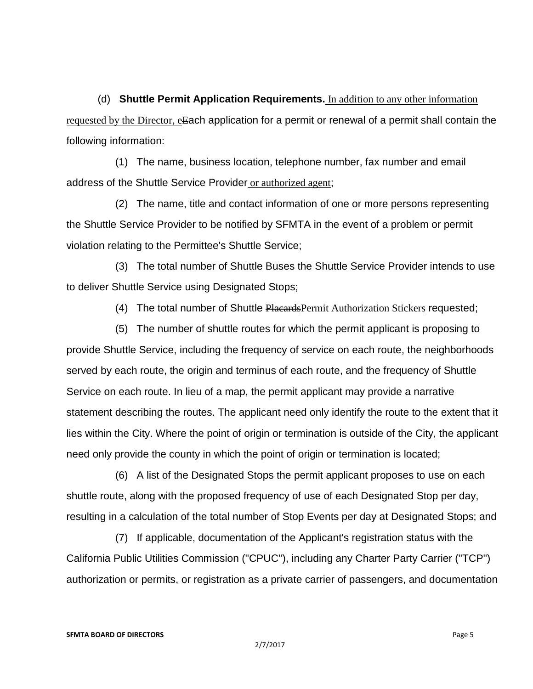(d) **Shuttle Permit Application Requirements.** In addition to any other information requested by the Director, eEach application for a permit or renewal of a permit shall contain the following information:

 (1) The name, business location, telephone number, fax number and email address of the Shuttle Service Provider or authorized agent;

 (2) The name, title and contact information of one or more persons representing the Shuttle Service Provider to be notified by SFMTA in the event of a problem or permit violation relating to the Permittee's Shuttle Service;

 (3) The total number of Shuttle Buses the Shuttle Service Provider intends to use to deliver Shuttle Service using Designated Stops;

(4) The total number of Shuttle Placards Permit Authorization Stickers requested;

 (5) The number of shuttle routes for which the permit applicant is proposing to provide Shuttle Service, including the frequency of service on each route, the neighborhoods served by each route, the origin and terminus of each route, and the frequency of Shuttle Service on each route. In lieu of a map, the permit applicant may provide a narrative statement describing the routes. The applicant need only identify the route to the extent that it lies within the City. Where the point of origin or termination is outside of the City, the applicant need only provide the county in which the point of origin or termination is located;

 (6) A list of the Designated Stops the permit applicant proposes to use on each shuttle route, along with the proposed frequency of use of each Designated Stop per day, resulting in a calculation of the total number of Stop Events per day at Designated Stops; and

 (7) If applicable, documentation of the Applicant's registration status with the California Public Utilities Commission ("CPUC"), including any Charter Party Carrier ("TCP") authorization or permits, or registration as a private carrier of passengers, and documentation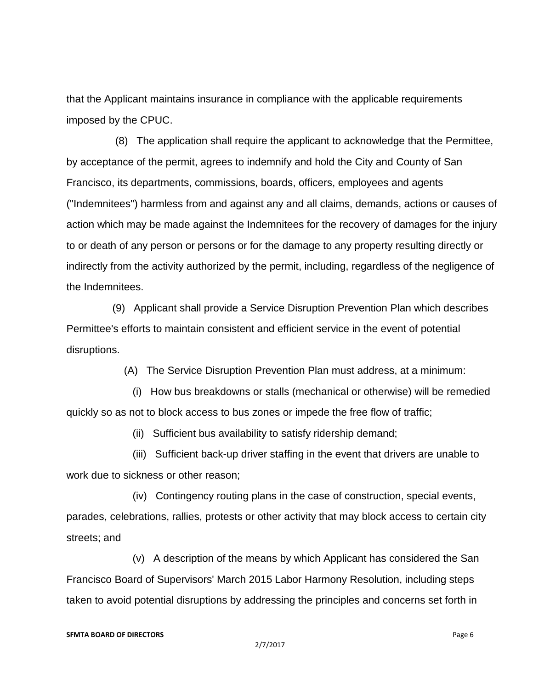that the Applicant maintains insurance in compliance with the applicable requirements imposed by the CPUC.

 (8) The application shall require the applicant to acknowledge that the Permittee, by acceptance of the permit, agrees to indemnify and hold the City and County of San Francisco, its departments, commissions, boards, officers, employees and agents ("Indemnitees") harmless from and against any and all claims, demands, actions or causes of action which may be made against the Indemnitees for the recovery of damages for the injury to or death of any person or persons or for the damage to any property resulting directly or indirectly from the activity authorized by the permit, including, regardless of the negligence of the Indemnitees.

 (9) Applicant shall provide a Service Disruption Prevention Plan which describes Permittee's efforts to maintain consistent and efficient service in the event of potential disruptions.

(A) The Service Disruption Prevention Plan must address, at a minimum:

 (i) How bus breakdowns or stalls (mechanical or otherwise) will be remedied quickly so as not to block access to bus zones or impede the free flow of traffic;

(ii) Sufficient bus availability to satisfy ridership demand;

 (iii) Sufficient back-up driver staffing in the event that drivers are unable to work due to sickness or other reason;

 (iv) Contingency routing plans in the case of construction, special events, parades, celebrations, rallies, protests or other activity that may block access to certain city streets; and

 (v) A description of the means by which Applicant has considered the San Francisco Board of Supervisors' March 2015 Labor Harmony Resolution, including steps taken to avoid potential disruptions by addressing the principles and concerns set forth in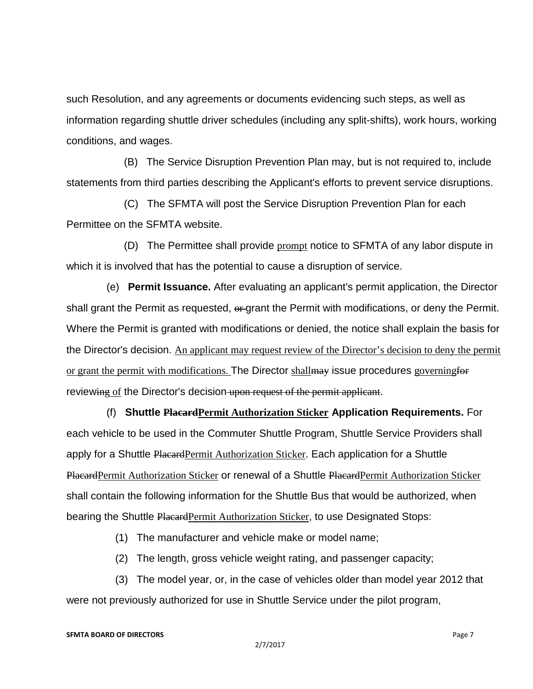such Resolution, and any agreements or documents evidencing such steps, as well as information regarding shuttle driver schedules (including any split-shifts), work hours, working conditions, and wages.

 (B) The Service Disruption Prevention Plan may, but is not required to, include statements from third parties describing the Applicant's efforts to prevent service disruptions.

 (C) The SFMTA will post the Service Disruption Prevention Plan for each Permittee on the SFMTA website.

(D) The Permittee shall provide prompt notice to SFMTA of any labor dispute in which it is involved that has the potential to cause a disruption of service.

 (e) **Permit Issuance.** After evaluating an applicant's permit application, the Director shall grant the Permit as requested,  $\theta$ -grant the Permit with modifications, or deny the Permit. Where the Permit is granted with modifications or denied, the notice shall explain the basis for the Director's decision. An applicant may request review of the Director's decision to deny the permit or grant the permit with modifications. The Director shall may issue procedures governing for reviewing of the Director's decision upon request of the permit applicant.

 (f) **Shuttle PlacardPermit Authorization Sticker Application Requirements.** For each vehicle to be used in the Commuter Shuttle Program, Shuttle Service Providers shall apply for a Shuttle Placard Permit Authorization Sticker. Each application for a Shuttle PlacardPermit Authorization Sticker or renewal of a Shuttle PlacardPermit Authorization Sticker shall contain the following information for the Shuttle Bus that would be authorized, when bearing the Shuttle Placard Permit Authorization Sticker, to use Designated Stops:

(1) The manufacturer and vehicle make or model name;

(2) The length, gross vehicle weight rating, and passenger capacity;

 (3) The model year, or, in the case of vehicles older than model year 2012 that were not previously authorized for use in Shuttle Service under the pilot program,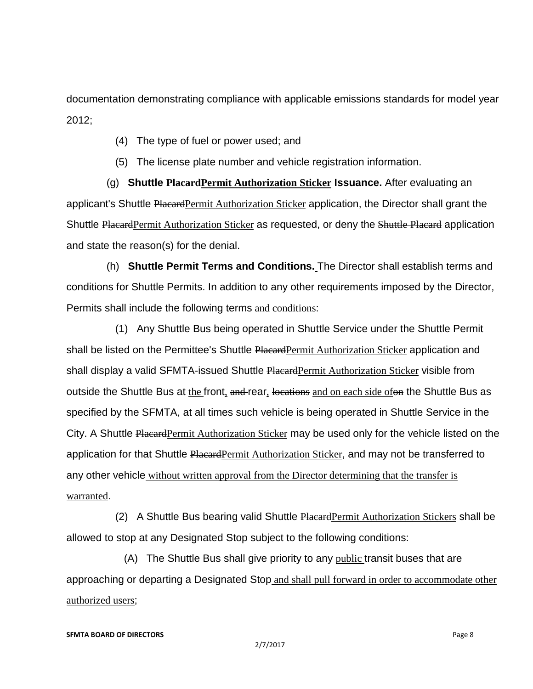documentation demonstrating compliance with applicable emissions standards for model year 2012;

- (4) The type of fuel or power used; and
- (5) The license plate number and vehicle registration information.

 (g) **Shuttle PlacardPermit Authorization Sticker Issuance.** After evaluating an applicant's Shuttle PlacardPermit Authorization Sticker application, the Director shall grant the Shuttle Placard Permit Authorization Sticker as requested, or deny the Shuttle Placard application and state the reason(s) for the denial.

 (h) **Shuttle Permit Terms and Conditions.** The Director shall establish terms and conditions for Shuttle Permits. In addition to any other requirements imposed by the Director, Permits shall include the following terms and conditions:

 (1) Any Shuttle Bus being operated in Shuttle Service under the Shuttle Permit shall be listed on the Permittee's Shuttle PlacardPermit Authorization Sticker application and shall display a valid SFMTA-issued Shuttle Placard Permit Authorization Sticker visible from outside the Shuttle Bus at the front, and rear, locations and on each side ofon the Shuttle Bus as specified by the SFMTA, at all times such vehicle is being operated in Shuttle Service in the City. A Shuttle Placard Permit Authorization Sticker may be used only for the vehicle listed on the application for that Shuttle Placard Permit Authorization Sticker, and may not be transferred to any other vehicle without written approval from the Director determining that the transfer is warranted.

 (2) A Shuttle Bus bearing valid Shuttle PlacardPermit Authorization Stickers shall be allowed to stop at any Designated Stop subject to the following conditions:

(A) The Shuttle Bus shall give priority to any public transit buses that are approaching or departing a Designated Stop and shall pull forward in order to accommodate other authorized users;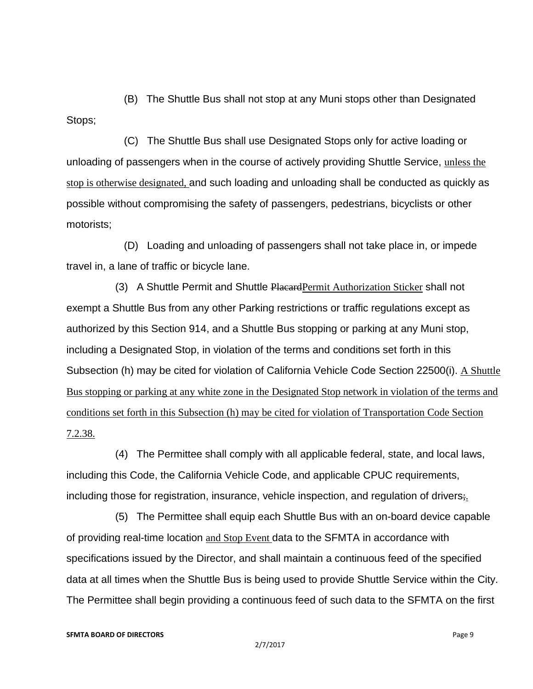(B) The Shuttle Bus shall not stop at any Muni stops other than Designated Stops;

 (C) The Shuttle Bus shall use Designated Stops only for active loading or unloading of passengers when in the course of actively providing Shuttle Service, unless the stop is otherwise designated, and such loading and unloading shall be conducted as quickly as possible without compromising the safety of passengers, pedestrians, bicyclists or other motorists;

 (D) Loading and unloading of passengers shall not take place in, or impede travel in, a lane of traffic or bicycle lane.

 (3) A Shuttle Permit and Shuttle PlacardPermit Authorization Sticker shall not exempt a Shuttle Bus from any other Parking restrictions or traffic regulations except as authorized by this Section 914, and a Shuttle Bus stopping or parking at any Muni stop, including a Designated Stop, in violation of the terms and conditions set forth in this Subsection (h) may be cited for violation of California Vehicle Code Section 22500(i). A Shuttle Bus stopping or parking at any white zone in the Designated Stop network in violation of the terms and conditions set forth in this Subsection (h) may be cited for violation of Transportation Code Section 7.2.38.

 (4) The Permittee shall comply with all applicable federal, state, and local laws, including this Code, the California Vehicle Code, and applicable CPUC requirements, including those for registration, insurance, vehicle inspection, and regulation of drivers,

 (5) The Permittee shall equip each Shuttle Bus with an on-board device capable of providing real-time location and Stop Event data to the SFMTA in accordance with specifications issued by the Director, and shall maintain a continuous feed of the specified data at all times when the Shuttle Bus is being used to provide Shuttle Service within the City. The Permittee shall begin providing a continuous feed of such data to the SFMTA on the first

#### **SFMTA BOARD OF DIRECTORS** Page 9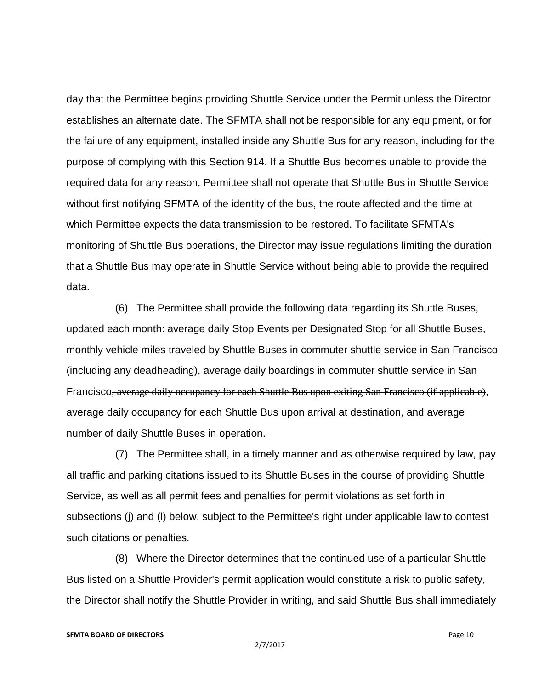day that the Permittee begins providing Shuttle Service under the Permit unless the Director establishes an alternate date. The SFMTA shall not be responsible for any equipment, or for the failure of any equipment, installed inside any Shuttle Bus for any reason, including for the purpose of complying with this Section 914. If a Shuttle Bus becomes unable to provide the required data for any reason, Permittee shall not operate that Shuttle Bus in Shuttle Service without first notifying SFMTA of the identity of the bus, the route affected and the time at which Permittee expects the data transmission to be restored. To facilitate SFMTA's monitoring of Shuttle Bus operations, the Director may issue regulations limiting the duration that a Shuttle Bus may operate in Shuttle Service without being able to provide the required data.

 (6) The Permittee shall provide the following data regarding its Shuttle Buses, updated each month: average daily Stop Events per Designated Stop for all Shuttle Buses, monthly vehicle miles traveled by Shuttle Buses in commuter shuttle service in San Francisco (including any deadheading), average daily boardings in commuter shuttle service in San Francisco, average daily occupancy for each Shuttle Bus upon exiting San Francisco (if applicable), average daily occupancy for each Shuttle Bus upon arrival at destination, and average number of daily Shuttle Buses in operation.

 (7) The Permittee shall, in a timely manner and as otherwise required by law, pay all traffic and parking citations issued to its Shuttle Buses in the course of providing Shuttle Service, as well as all permit fees and penalties for permit violations as set forth in subsections (j) and (l) below, subject to the Permittee's right under applicable law to contest such citations or penalties.

 (8) Where the Director determines that the continued use of a particular Shuttle Bus listed on a Shuttle Provider's permit application would constitute a risk to public safety, the Director shall notify the Shuttle Provider in writing, and said Shuttle Bus shall immediately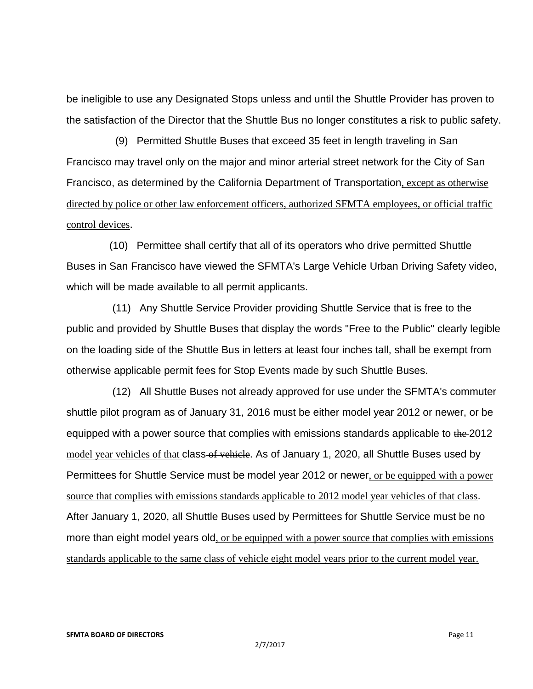be ineligible to use any Designated Stops unless and until the Shuttle Provider has proven to the satisfaction of the Director that the Shuttle Bus no longer constitutes a risk to public safety.

 (9) Permitted Shuttle Buses that exceed 35 feet in length traveling in San Francisco may travel only on the major and minor arterial street network for the City of San Francisco, as determined by the California Department of Transportation, except as otherwise directed by police or other law enforcement officers, authorized SFMTA employees, or official traffic control devices.

 (10) Permittee shall certify that all of its operators who drive permitted Shuttle Buses in San Francisco have viewed the SFMTA's Large Vehicle Urban Driving Safety video, which will be made available to all permit applicants.

 (11) Any Shuttle Service Provider providing Shuttle Service that is free to the public and provided by Shuttle Buses that display the words "Free to the Public" clearly legible on the loading side of the Shuttle Bus in letters at least four inches tall, shall be exempt from otherwise applicable permit fees for Stop Events made by such Shuttle Buses.

 (12) All Shuttle Buses not already approved for use under the SFMTA's commuter shuttle pilot program as of January 31, 2016 must be either model year 2012 or newer, or be equipped with a power source that complies with emissions standards applicable to the 2012 model year vehicles of that class of vehicle. As of January 1, 2020, all Shuttle Buses used by Permittees for Shuttle Service must be model year 2012 or newer, or be equipped with a power source that complies with emissions standards applicable to 2012 model year vehicles of that class. After January 1, 2020, all Shuttle Buses used by Permittees for Shuttle Service must be no more than eight model years old, or be equipped with a power source that complies with emissions standards applicable to the same class of vehicle eight model years prior to the current model year.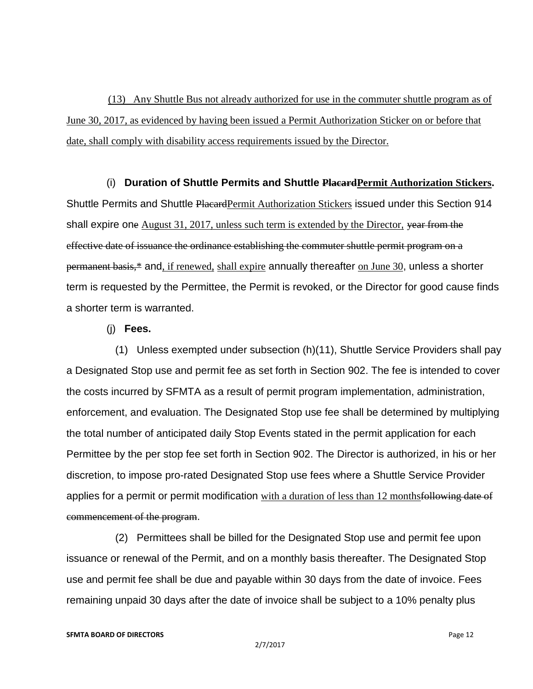(13) Any Shuttle Bus not already authorized for use in the commuter shuttle program as of June 30, 2017, as evidenced by having been issued a Permit Authorization Sticker on or before that date, shall comply with disability access requirements issued by the Director.

 (i) **Duration of Shuttle Permits and Shuttle PlacardPermit Authorization Stickers.** Shuttle Permits and Shuttle Placard Permit Authorization Stickers issued under this Section 914 shall expire one August 31, 2017, unless such term is extended by the Director, year from the effective date of issuance the ordinance establishing the commuter shuttle permit program on a permanent basis,\* and, if renewed, shall expire annually thereafter on June 30, unless a shorter term is requested by the Permittee, the Permit is revoked, or the Director for good cause finds a shorter term is warranted.

(j) **Fees.**

 (1) Unless exempted under subsection (h)(11), Shuttle Service Providers shall pay a Designated Stop use and permit fee as set forth in Section 902. The fee is intended to cover the costs incurred by SFMTA as a result of permit program implementation, administration, enforcement, and evaluation. The Designated Stop use fee shall be determined by multiplying the total number of anticipated daily Stop Events stated in the permit application for each Permittee by the per stop fee set forth in Section 902. The Director is authorized, in his or her discretion, to impose pro-rated Designated Stop use fees where a Shuttle Service Provider applies for a permit or permit modification with a duration of less than 12 monthsfollowing date of commencement of the program.

 (2) Permittees shall be billed for the Designated Stop use and permit fee upon issuance or renewal of the Permit, and on a monthly basis thereafter. The Designated Stop use and permit fee shall be due and payable within 30 days from the date of invoice. Fees remaining unpaid 30 days after the date of invoice shall be subject to a 10% penalty plus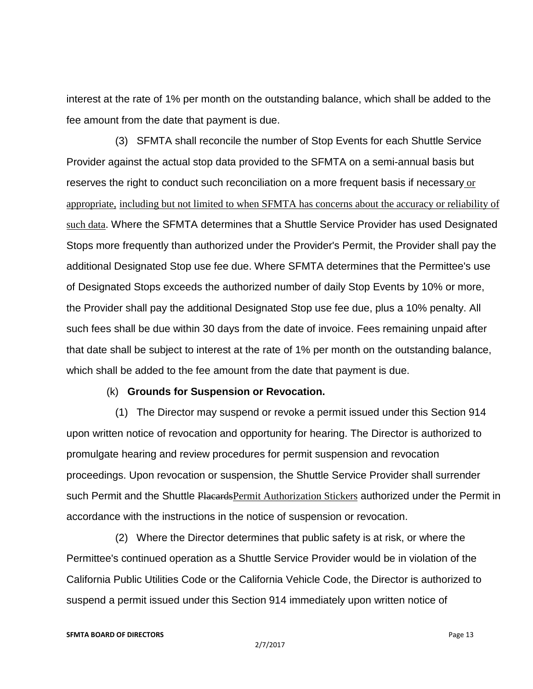interest at the rate of 1% per month on the outstanding balance, which shall be added to the fee amount from the date that payment is due.

 (3) SFMTA shall reconcile the number of Stop Events for each Shuttle Service Provider against the actual stop data provided to the SFMTA on a semi-annual basis but reserves the right to conduct such reconciliation on a more frequent basis if necessary or appropriate, including but not limited to when SFMTA has concerns about the accuracy or reliability of such data. Where the SFMTA determines that a Shuttle Service Provider has used Designated Stops more frequently than authorized under the Provider's Permit, the Provider shall pay the additional Designated Stop use fee due. Where SFMTA determines that the Permittee's use of Designated Stops exceeds the authorized number of daily Stop Events by 10% or more, the Provider shall pay the additional Designated Stop use fee due, plus a 10% penalty. All such fees shall be due within 30 days from the date of invoice. Fees remaining unpaid after that date shall be subject to interest at the rate of 1% per month on the outstanding balance, which shall be added to the fee amount from the date that payment is due.

### (k) **Grounds for Suspension or Revocation.**

 (1) The Director may suspend or revoke a permit issued under this Section 914 upon written notice of revocation and opportunity for hearing. The Director is authorized to promulgate hearing and review procedures for permit suspension and revocation proceedings. Upon revocation or suspension, the Shuttle Service Provider shall surrender such Permit and the Shuttle PlacardsPermit Authorization Stickers authorized under the Permit in accordance with the instructions in the notice of suspension or revocation.

 (2) Where the Director determines that public safety is at risk, or where the Permittee's continued operation as a Shuttle Service Provider would be in violation of the California Public Utilities Code or the California Vehicle Code, the Director is authorized to suspend a permit issued under this Section 914 immediately upon written notice of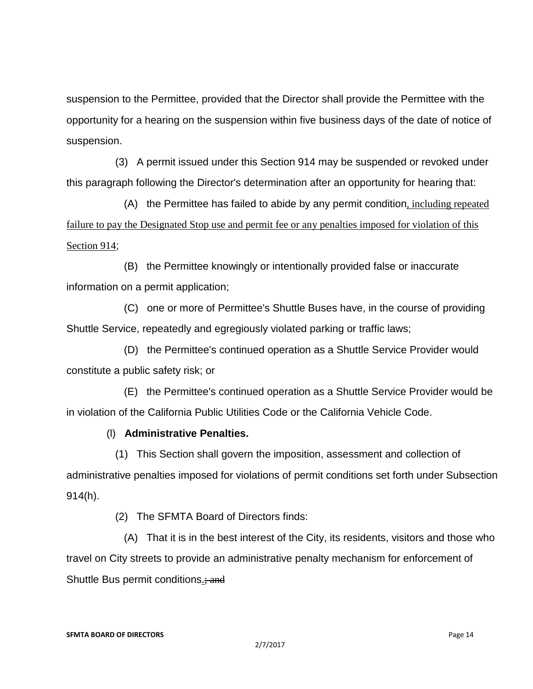suspension to the Permittee, provided that the Director shall provide the Permittee with the opportunity for a hearing on the suspension within five business days of the date of notice of suspension.

 (3) A permit issued under this Section 914 may be suspended or revoked under this paragraph following the Director's determination after an opportunity for hearing that:

 (A) the Permittee has failed to abide by any permit condition, including repeated failure to pay the Designated Stop use and permit fee or any penalties imposed for violation of this Section 914;

 (B) the Permittee knowingly or intentionally provided false or inaccurate information on a permit application;

 (C) one or more of Permittee's Shuttle Buses have, in the course of providing Shuttle Service, repeatedly and egregiously violated parking or traffic laws;

 (D) the Permittee's continued operation as a Shuttle Service Provider would constitute a public safety risk; or

 (E) the Permittee's continued operation as a Shuttle Service Provider would be in violation of the California Public Utilities Code or the California Vehicle Code.

# (l) **Administrative Penalties.**

 (1) This Section shall govern the imposition, assessment and collection of administrative penalties imposed for violations of permit conditions set forth under Subsection 914(h).

(2) The SFMTA Board of Directors finds:

 (A) That it is in the best interest of the City, its residents, visitors and those who travel on City streets to provide an administrative penalty mechanism for enforcement of Shuttle Bus permit conditions.; and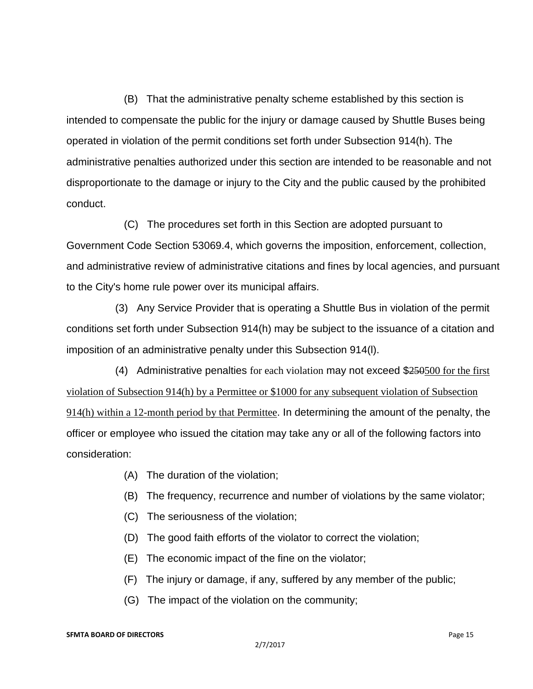(B) That the administrative penalty scheme established by this section is intended to compensate the public for the injury or damage caused by Shuttle Buses being operated in violation of the permit conditions set forth under Subsection 914(h). The administrative penalties authorized under this section are intended to be reasonable and not disproportionate to the damage or injury to the City and the public caused by the prohibited conduct.

 (C) The procedures set forth in this Section are adopted pursuant to Government Code Section 53069.4, which governs the imposition, enforcement, collection, and administrative review of administrative citations and fines by local agencies, and pursuant to the City's home rule power over its municipal affairs.

 (3) Any Service Provider that is operating a Shuttle Bus in violation of the permit conditions set forth under Subsection 914(h) may be subject to the issuance of a citation and imposition of an administrative penalty under this Subsection 914(l).

(4) Administrative penalties for each violation may not exceed  $$250500$  for the first violation of Subsection 914(h) by a Permittee or \$1000 for any subsequent violation of Subsection 914(h) within a 12-month period by that Permittee. In determining the amount of the penalty, the officer or employee who issued the citation may take any or all of the following factors into consideration:

- (A) The duration of the violation;
- (B) The frequency, recurrence and number of violations by the same violator;
- (C) The seriousness of the violation;
- (D) The good faith efforts of the violator to correct the violation;
- (E) The economic impact of the fine on the violator;
- (F) The injury or damage, if any, suffered by any member of the public;
- (G) The impact of the violation on the community;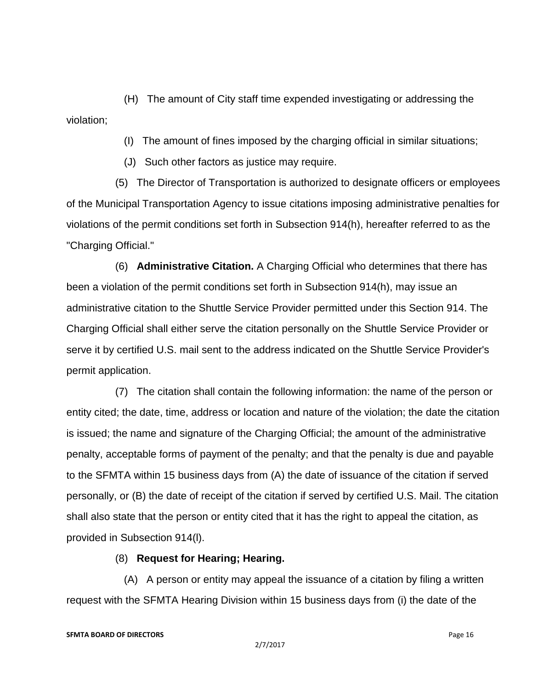(H) The amount of City staff time expended investigating or addressing the violation;

(I) The amount of fines imposed by the charging official in similar situations;

(J) Such other factors as justice may require.

 (5) The Director of Transportation is authorized to designate officers or employees of the Municipal Transportation Agency to issue citations imposing administrative penalties for violations of the permit conditions set forth in Subsection 914(h), hereafter referred to as the "Charging Official."

 (6) **Administrative Citation.** A Charging Official who determines that there has been a violation of the permit conditions set forth in Subsection 914(h), may issue an administrative citation to the Shuttle Service Provider permitted under this Section 914. The Charging Official shall either serve the citation personally on the Shuttle Service Provider or serve it by certified U.S. mail sent to the address indicated on the Shuttle Service Provider's permit application.

 (7) The citation shall contain the following information: the name of the person or entity cited; the date, time, address or location and nature of the violation; the date the citation is issued; the name and signature of the Charging Official; the amount of the administrative penalty, acceptable forms of payment of the penalty; and that the penalty is due and payable to the SFMTA within 15 business days from (A) the date of issuance of the citation if served personally, or (B) the date of receipt of the citation if served by certified U.S. Mail. The citation shall also state that the person or entity cited that it has the right to appeal the citation, as provided in Subsection 914(l).

(8) **Request for Hearing; Hearing.**

 (A) A person or entity may appeal the issuance of a citation by filing a written request with the SFMTA Hearing Division within 15 business days from (i) the date of the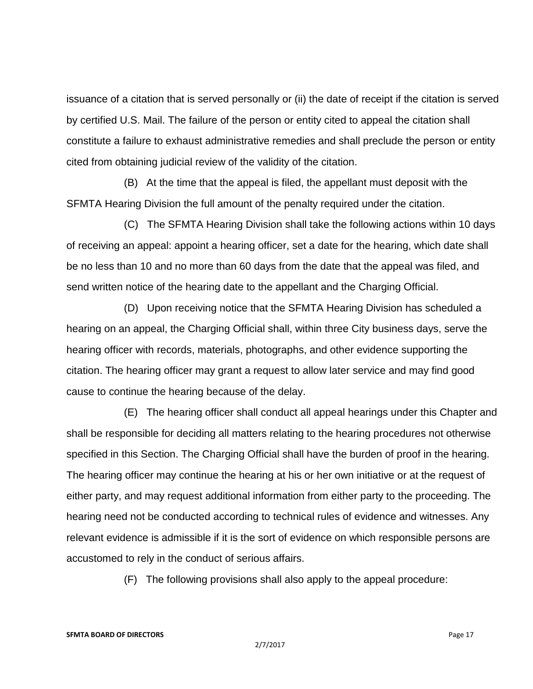issuance of a citation that is served personally or (ii) the date of receipt if the citation is served by certified U.S. Mail. The failure of the person or entity cited to appeal the citation shall constitute a failure to exhaust administrative remedies and shall preclude the person or entity cited from obtaining judicial review of the validity of the citation.

 (B) At the time that the appeal is filed, the appellant must deposit with the SFMTA Hearing Division the full amount of the penalty required under the citation.

 (C) The SFMTA Hearing Division shall take the following actions within 10 days of receiving an appeal: appoint a hearing officer, set a date for the hearing, which date shall be no less than 10 and no more than 60 days from the date that the appeal was filed, and send written notice of the hearing date to the appellant and the Charging Official.

 (D) Upon receiving notice that the SFMTA Hearing Division has scheduled a hearing on an appeal, the Charging Official shall, within three City business days, serve the hearing officer with records, materials, photographs, and other evidence supporting the citation. The hearing officer may grant a request to allow later service and may find good cause to continue the hearing because of the delay.

 (E) The hearing officer shall conduct all appeal hearings under this Chapter and shall be responsible for deciding all matters relating to the hearing procedures not otherwise specified in this Section. The Charging Official shall have the burden of proof in the hearing. The hearing officer may continue the hearing at his or her own initiative or at the request of either party, and may request additional information from either party to the proceeding. The hearing need not be conducted according to technical rules of evidence and witnesses. Any relevant evidence is admissible if it is the sort of evidence on which responsible persons are accustomed to rely in the conduct of serious affairs.

(F) The following provisions shall also apply to the appeal procedure: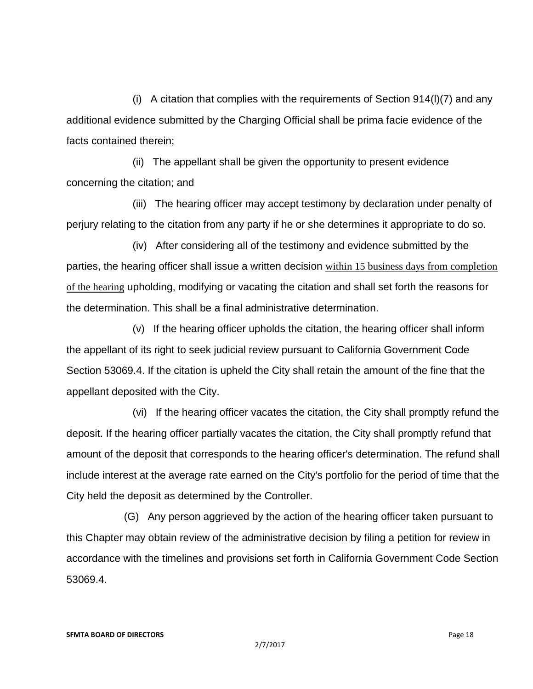(i) A citation that complies with the requirements of Section 914(l)(7) and any additional evidence submitted by the Charging Official shall be prima facie evidence of the facts contained therein;

 (ii) The appellant shall be given the opportunity to present evidence concerning the citation; and

 (iii) The hearing officer may accept testimony by declaration under penalty of perjury relating to the citation from any party if he or she determines it appropriate to do so.

 (iv) After considering all of the testimony and evidence submitted by the parties, the hearing officer shall issue a written decision within 15 business days from completion of the hearing upholding, modifying or vacating the citation and shall set forth the reasons for the determination. This shall be a final administrative determination.

 (v) If the hearing officer upholds the citation, the hearing officer shall inform the appellant of its right to seek judicial review pursuant to California Government Code Section 53069.4. If the citation is upheld the City shall retain the amount of the fine that the appellant deposited with the City.

 (vi) If the hearing officer vacates the citation, the City shall promptly refund the deposit. If the hearing officer partially vacates the citation, the City shall promptly refund that amount of the deposit that corresponds to the hearing officer's determination. The refund shall include interest at the average rate earned on the City's portfolio for the period of time that the City held the deposit as determined by the Controller.

 (G) Any person aggrieved by the action of the hearing officer taken pursuant to this Chapter may obtain review of the administrative decision by filing a petition for review in accordance with the timelines and provisions set forth in California Government Code Section 53069.4.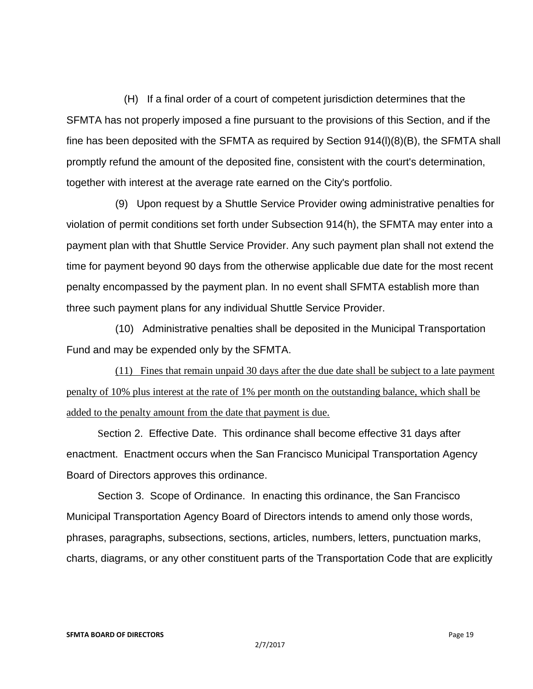(H) If a final order of a court of competent jurisdiction determines that the SFMTA has not properly imposed a fine pursuant to the provisions of this Section, and if the fine has been deposited with the SFMTA as required by Section 914(l)(8)(B), the SFMTA shall promptly refund the amount of the deposited fine, consistent with the court's determination, together with interest at the average rate earned on the City's portfolio.

 (9) Upon request by a Shuttle Service Provider owing administrative penalties for violation of permit conditions set forth under Subsection 914(h), the SFMTA may enter into a payment plan with that Shuttle Service Provider. Any such payment plan shall not extend the time for payment beyond 90 days from the otherwise applicable due date for the most recent penalty encompassed by the payment plan. In no event shall SFMTA establish more than three such payment plans for any individual Shuttle Service Provider.

 (10) Administrative penalties shall be deposited in the Municipal Transportation Fund and may be expended only by the SFMTA.

 (11) Fines that remain unpaid 30 days after the due date shall be subject to a late payment penalty of 10% plus interest at the rate of 1% per month on the outstanding balance, which shall be added to the penalty amount from the date that payment is due.

Section 2. Effective Date. This ordinance shall become effective 31 days after enactment. Enactment occurs when the San Francisco Municipal Transportation Agency Board of Directors approves this ordinance.

Section 3. Scope of Ordinance. In enacting this ordinance, the San Francisco Municipal Transportation Agency Board of Directors intends to amend only those words, phrases, paragraphs, subsections, sections, articles, numbers, letters, punctuation marks, charts, diagrams, or any other constituent parts of the Transportation Code that are explicitly

#### **SFMTA BOARD OF DIRECTORS Page 19**